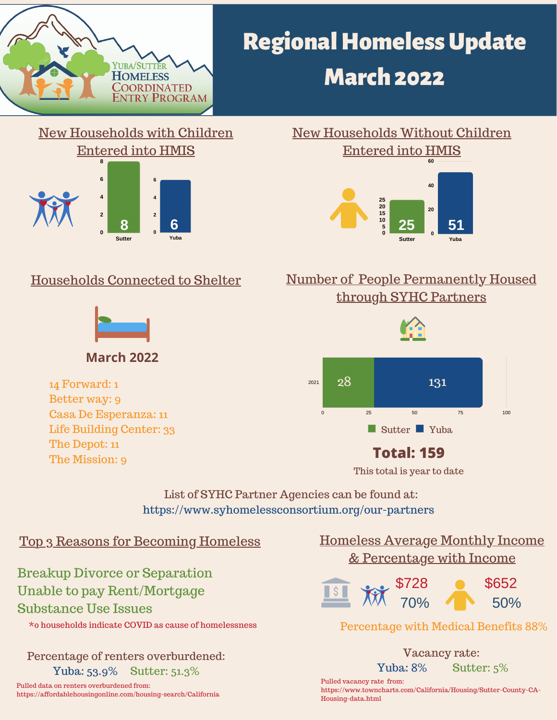

# **Regional Homeless Update March 2022**



#### **Sutter 25 20 15 10 5 0 Yuba 60 40 20 0** New Households Without Children Entered into HMIS **8 6 25 51**

### Households Connected to Shelter



**March 2022**

14 Forward: 1 Better way: 9 Casa De Esperanza: 11 Life Building Center: 33 The Depot: 11 The Mission: 9

### Number of People Permanently Housed through SYHC Partners



Sutter Yuba

0 25 50 75 100

### **Total: 159**

This total is year to date

List of SYHC Partner Agencies can be found at: https://www.syhomelessconsortium.org/our-partners

2021

#### Top 3 Reasons for Becoming Homeless Homeless Average Monthly Income

Breakup Divorce or Separation Unable to pay Rent/Mortgage Substance Use Issues

\*0 households indicate COVID as cause of homelessness

Percentage of renters overburdened: Yuba: 53.9% Sutter: 51.3%

Pulled data on renters overburdened from: https://affordablehousingonline.com/housing-search/California

## & Percentage with Income



#### Percentage with Medical Benefits 88%

Vacancy rate: Yuba: 8% Sutter: 5%

Pulled vacancy rate from: https://www.towncharts.com/California/Housing/Sutter-County-CA-Housing-data.html